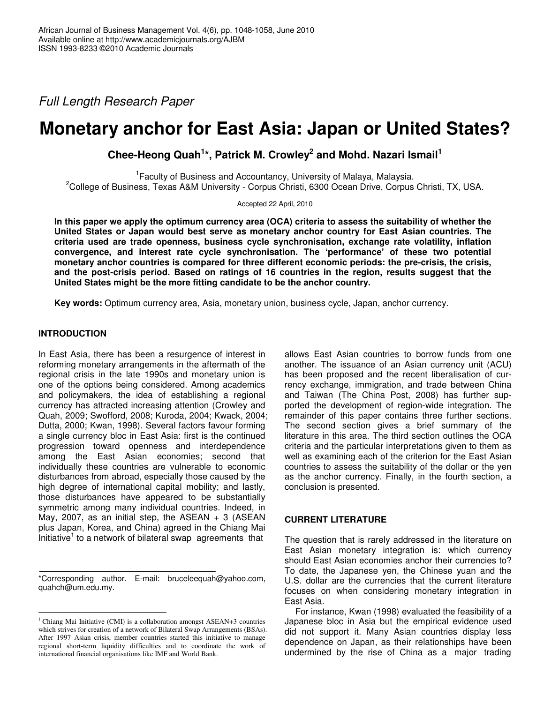*Full Length Research Paper*

# **Monetary anchor for East Asia: Japan or United States?**

**Chee-Heong Quah 1 \*, Patrick M. Crowley 2 and Mohd. Nazari Ismail 1**

<sup>1</sup> Faculty of Business and Accountancy, University of Malaya, Malaysia. <sup>2</sup>College of Business, Texas A&M University - Corpus Christi, 6300 Ocean Drive, Corpus Christi, TX, USA.

Accepted 22 April, 2010

In this paper we apply the optimum currency area (OCA) criteria to assess the suitability of whether the **United States or Japan would best serve as monetary anchor country for East Asian countries. The criteria used are trade openness, business cycle synchronisation, exchange rate volatility, inflation convergence, and interest rate cycle synchronisation. The 'performance' of these two potential monetary anchor countries is compared for three different economic periods: the pre-crisis, the crisis, and the post-crisis period. Based on ratings of 16 countries in the region, results suggest that the United States might be the more fitting candidate to be the anchor country.**

**Key words:** Optimum currency area, Asia, monetary union, business cycle, Japan, anchor currency.

# **INTRODUCTION**

In East Asia, there has been a resurgence of interest in reforming monetary arrangements in the aftermath of the regional crisis in the late 1990s and monetary union is one of the options being considered. Among academics and policymakers, the idea of establishing a regional currency has attracted increasing attention (Crowley and Quah, 2009; Swofford, 2008; Kuroda, 2004; Kwack, 2004; Dutta, 2000; Kwan, 1998). Several factors favour forming a single currency bloc in East Asia: first is the continued progression toward openness and interdependence among the East Asian economies; second that individually these countries are vulnerable to economic disturbances from abroad, especially those caused by the high degree of international capital mobility; and lastly, those disturbances have appeared to be substantially symmetric among many individual countries. Indeed, in May, 2007, as an initial step, the ASEAN  $+$  3 (ASEAN plus Japan, Korea, and China) agreed in the Chiang Mai Initiative<sup>1</sup> to a network of bilateral swap agreements that

\*Corresponding author. E-mail: bruceleequah@yahoo.com, quahch@um.edu.my.

allows East Asian countries to borrow funds from one another. The issuance of an Asian currency unit (ACU) has been proposed and the recent liberalisation of currency exchange, immigration, and trade between China and Taiwan (The China Post, 2008) has further supported the development of region-wide integration. The remainder of this paper contains three further sections. The second section gives a brief summary of the literature in this area. The third section outlines the OCA criteria and the particular interpretations given to them as well as examining each of the criterion for the East Asian countries to assess the suitability of the dollar or the yen as the anchor currency. Finally, in the fourth section, a conclusion is presented.

# **CURRENT LITERATURE**

The question that is rarely addressed in the literature on East Asian monetary integration is: which currency should East Asian economies anchor their currencies to? To date, the Japanese yen, the Chinese yuan and the U.S. dollar are the currencies that the current literature focuses on when considering monetary integration in East Asia.

For instance, Kwan (1998) evaluated the feasibility of a Japanese bloc in Asia but the empirical evidence used did not support it. Many Asian countries display less dependence on Japan, as their relationships have been undermined by the rise of China as a major trading

<sup>&</sup>lt;sup>1</sup> Chiang Mai Initiative (CMI) is a collaboration amongst ASEAN+3 countries which strives for creation of a network of Bilateral Swap Arrangements (BSAs). After 1997 Asian crisis, member countries started this initiative to manage regional short-term liquidity difficulties and to coordinate the work of international financial organisations like IMF and World Bank.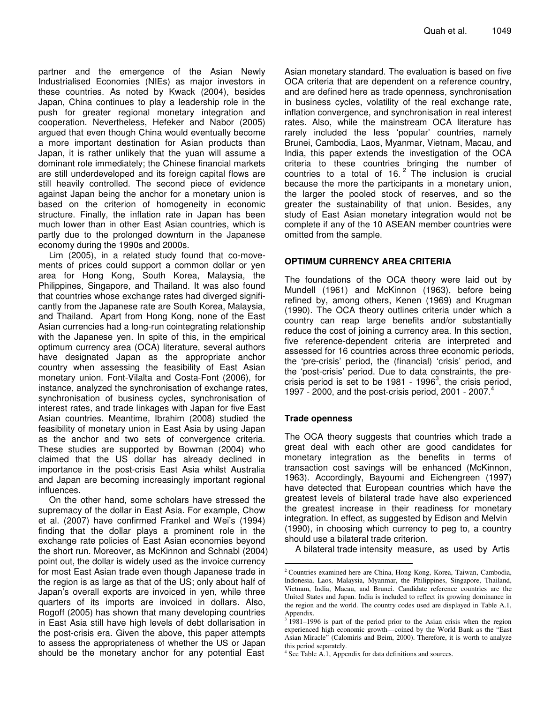partner and the emergence of the Asian Newly Industrialised Economies (NIEs) as major investors in these countries. As noted by Kwack (2004), besides Japan, China continues to play a leadership role in the push for greater regional monetary integration and cooperation. Nevertheless, Hefeker and Nabor (2005) argued that even though China would eventually become a more important destination for Asian products than Japan, it is rather unlikely that the yuan will assume a dominant role immediately; the Chinese financial markets are still underdeveloped and its foreign capital flows are still heavily controlled. The second piece of evidence against Japan being the anchor for a monetary union is based on the criterion of homogeneity in economic structure. Finally, the inflation rate in Japan has been much lower than in other East Asian countries, which is partly due to the prolonged downturn in the Japanese economy during the 1990s and 2000s.

Lim (2005), in a related study found that co-movements of prices could support a common dollar or yen area for Hong Kong, South Korea, Malaysia, the Philippines, Singapore, and Thailand. It was also found that countries whose exchange rates had diverged significantly from the Japanese rate are South Korea, Malaysia, and Thailand. Apart from Hong Kong, none of the East Asian currencies had a long-run cointegrating relationship with the Japanese yen. In spite of this, in the empirical optimum currency area (OCA) literature, several authors have designated Japan as the appropriate anchor country when assessing the feasibility of East Asian monetary union. Font-Vilalta and Costa-Font (2006), for instance, analyzed the synchronisation of exchange rates, synchronisation of business cycles, synchronisation of interest rates, and trade linkages with Japan for five East Asian countries. Meantime, Ibrahim (2008) studied the feasibility of monetary union in East Asia by using Japan as the anchor and two sets of convergence criteria. These studies are supported by Bowman (2004) who claimed that the US dollar has already declined in importance in the post-crisis East Asia whilst Australia and Japan are becoming increasingly important regional influences.

On the other hand, some scholars have stressed the supremacy of the dollar in East Asia. For example, Chow et al. (2007) have confirmed Frankel and Wei's (1994) finding that the dollar plays a prominent role in the exchange rate policies of East Asian economies beyond the short run. Moreover, as McKinnon and Schnabl (2004) point out, the dollar is widely used as the invoice currency for most East Asian trade even though Japanese trade in the region is as large as that of the US; only about half of Japan's overall exports are invoiced in yen, while three quarters of its imports are invoiced in dollars. Also, Rogoff (2005) has shown that many developing countries in East Asia still have high levels of debt dollarisation in the post-crisis era. Given the above, this paper attempts to assess the appropriateness of whether the US or Japan should be the monetary anchor for any potential East

Asian monetary standard. The evaluation is based on five OCA criteria that are dependent on a reference country, and are defined here as trade openness, synchronisation in business cycles, volatility of the real exchange rate, inflation convergence, and synchronisation in real interest rates. Also, while the mainstream OCA literature has rarely included the less 'popular' countries, namely Brunei, Cambodia, Laos, Myanmar, Vietnam, Macau, and India, this paper extends the investigation of the OCA criteria to these countries bringing the number of countries to a total of 16. $^2$  The inclusion is crucial because the more the participants in a monetary union, the larger the pooled stock of reserves, and so the greater the sustainability of that union. Besides, any study of East Asian monetary integration would not be complete if any of the 10 ASEAN member countries were omitted from the sample.

## **OPTIMUM CURRENCY AREA CRITERIA**

The foundations of the OCA theory were laid out by Mundell (1961) and McKinnon (1963), before being refined by, among others, Kenen (1969) and Krugman (1990). The OCA theory outlines criteria under which a country can reap large benefits and/or substantially reduce the cost of joining a currency area. In this section, five reference-dependent criteria are interpreted and assessed for 16 countries across three economic periods, the 'pre-crisis' period, the (financial) 'crisis' period, and the 'post-crisis' period. Due to data constraints, the precrisis period is set to be 1981 - 1996 $^3$ , the crisis period, 1997 - 2000, and the post-crisis period, 2001 - 2007. 4

#### **Trade openness**

The OCA theory suggests that countries which trade a great deal with each other are good candidates for monetary integration as the benefits in terms of transaction cost savings will be enhanced (McKinnon, 1963). Accordingly, Bayoumi and Eichengreen (1997) have detected that European countries which have the greatest levels of bilateral trade have also experienced the greatest increase in their readiness for monetary integration. In effect, as suggested by Edison and Melvin (1990), in choosing which currency to peg to, a country should use a bilateral trade criterion.

A bilateral trade intensity measure, as used by Artis

<sup>2</sup> Countries examined here are China, Hong Kong, Korea, Taiwan, Cambodia, Indonesia, Laos, Malaysia, Myanmar, the Philippines, Singapore, Thailand, Vietnam, India, Macau, and Brunei. Candidate reference countries are the United States and Japan. India is included to reflect its growing dominance in the region and the world. The country codes used are displayed in Table A.1, Appendix.<br> $3,1081,100$ 

<sup>1981–1996</sup> is part of the period prior to the Asian crisis when the region experienced high economic growth—coined by the World Bank as the "East Asian Miracle" (Calomiris and Beim, 2000). Therefore, it is worth to analyze this period separately.

<sup>4</sup> See Table A.1, Appendix for data definitions and sources.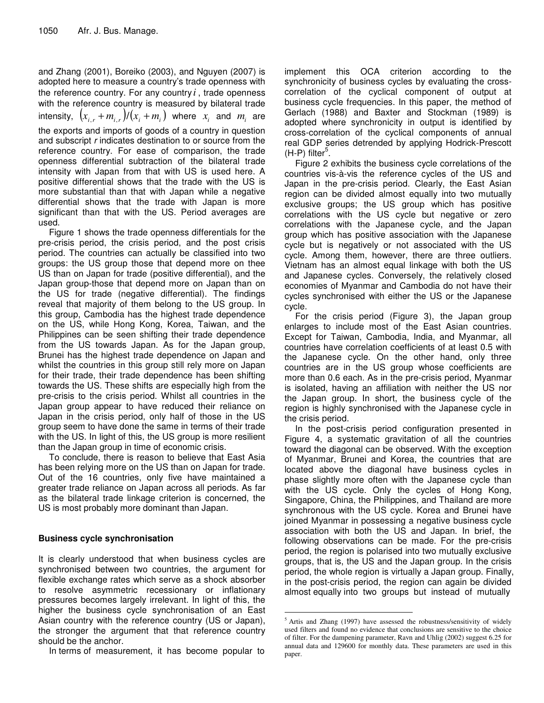and Zhang (2001), Boreiko (2003), and Nguyen (2007) is adopted here to measure a country's trade openness with the reference country. For any country *i* , trade openness with the reference country is measured by bilateral trade intensity,  $(x_{i,r} + m_{i,r})/(x_i + m_i)$  where  $x_i$  and  $m_i$  are the exports and imports of goods of a country in question and subscript *r* indicates destination to or source from the reference country. For ease of comparison, the trade openness differential subtraction of the bilateral trade intensity with Japan from that with US is used here. A positive differential shows that the trade with the US is more substantial than that with Japan while a negative differential shows that the trade with Japan is more significant than that with the US. Period averages are used.

Figure 1 shows the trade openness differentials for the pre-crisis period, the crisis period, and the post crisis period. The countries can actually be classified into two groups: the US group those that depend more on thee US than on Japan for trade (positive differential), and the Japan group-those that depend more on Japan than on the US for trade (negative differential). The findings reveal that majority of them belong to the US group. In this group, Cambodia has the highest trade dependence on the US, while Hong Kong, Korea, Taiwan, and the Philippines can be seen shifting their trade dependence from the US towards Japan. As for the Japan group, Brunei has the highest trade dependence on Japan and whilst the countries in this group still rely more on Japan for their trade, their trade dependence has been shifting towards the US. These shifts are especially high from the pre-crisis to the crisis period. Whilst all countries in the Japan group appear to have reduced their reliance on Japan in the crisis period, only half of those in the US group seem to have done the same in terms of their trade with the US. In light of this, the US group is more resilient than the Japan group in time of economic crisis.

To conclude, there is reason to believe that East Asia has been relying more on the US than on Japan for trade. Out of the 16 countries, only five have maintained a greater trade reliance on Japan across all periods. As far as the bilateral trade linkage criterion is concerned, the US is most probably more dominant than Japan.

# **Business cycle synchronisation**

It is clearly understood that when business cycles are synchronised between two countries, the argument for flexible exchange rates which serve as a shock absorber to resolve asymmetric recessionary or inflationary pressures becomes largely irrelevant. In light of this, the higher the business cycle synchronisation of an East Asian country with the reference country (US or Japan), the stronger the argument that that reference country should be the anchor.

In terms of measurement, it has become popular to

implement this OCA criterion according to the synchronicity of business cycles by evaluating the crosscorrelation of the cyclical component of output at business cycle frequencies. In this paper, the method of Gerlach (1988) and Baxter and Stockman (1989) is adopted where synchronicity in output is identified by cross-correlation of the cyclical components of annual real GDP series detrended by applying Hodrick-Prescott (H-P) filter<sup>5</sup>.

Figure 2 exhibits the business cycle correlations of the countries vis-à-vis the reference cycles of the US and Japan in the pre-crisis period. Clearly, the East Asian region can be divided almost equally into two mutually exclusive groups; the US group which has positive correlations with the US cycle but negative or zero correlations with the Japanese cycle, and the Japan group which has positive association with the Japanese cycle but is negatively or not associated with the US cycle. Among them, however, there are three outliers. Vietnam has an almost equal linkage with both the US and Japanese cycles. Conversely, the relatively closed economies of Myanmar and Cambodia do not have their cycles synchronised with either the US or the Japanese cycle.

For the crisis period (Figure 3), the Japan group enlarges to include most of the East Asian countries. Except for Taiwan, Cambodia, India, and Myanmar, all countries have correlation coefficients of at least 0.5 with the Japanese cycle. On the other hand, only three countries are in the US group whose coefficients are more than 0.6 each. As in the pre-crisis period, Myanmar is isolated, having an affiliation with neither the US nor the Japan group. In short, the business cycle of the region is highly synchronised with the Japanese cycle in the crisis period.

In the post-crisis period configuration presented in Figure 4, a systematic gravitation of all the countries toward the diagonal can be observed. With the exception of Myanmar, Brunei and Korea, the countries that are located above the diagonal have business cycles in phase slightly more often with the Japanese cycle than with the US cycle. Only the cycles of Hong Kong, Singapore, China, the Philippines, and Thailand are more synchronous with the US cycle. Korea and Brunei have joined Myanmar in possessing a negative business cycle association with both the US and Japan. In brief, the following observations can be made. For the pre-crisis period, the region is polarised into two mutually exclusive groups, that is, the US and the Japan group. In the crisis period, the whole region is virtually a Japan group. Finally, in the post-crisis period, the region can again be divided almost equally into two groups but instead of mutually

<sup>&</sup>lt;sup>5</sup> Artis and Zhang (1997) have assessed the robustness/sensitivity of widely used filters and found no evidence that conclusions are sensitive to the choice of filter. For the dampening parameter, Ravn and Uhlig (2002) suggest 6.25 for annual data and 129600 for monthly data. These parameters are used in this paper.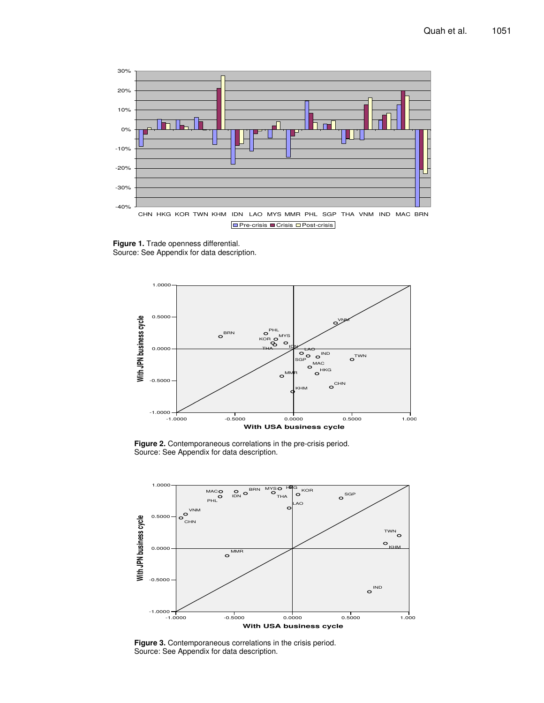

**Figure 1.** Trade openness differential. Source: See Appendix for data description.



**Figure 2.** Contemporaneous correlations in the pre-crisis period. Source: See Appendix for data description.



**Figure 3.** Contemporaneous correlations in the crisis period. Source: See Appendix for data description.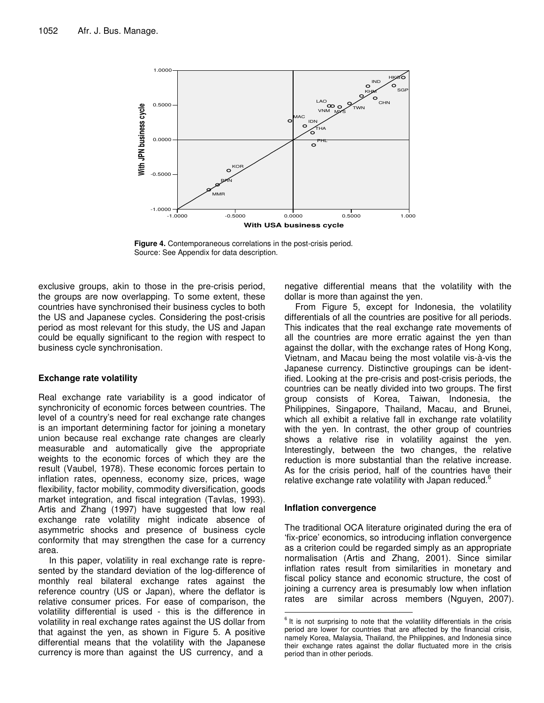

**Figure 4.** Contemporaneous correlations in the post-crisis period. Source: See Appendix for data description.

exclusive groups, akin to those in the pre-crisis period, the groups are now overlapping. To some extent, these countries have synchronised their business cycles to both the US and Japanese cycles. Considering the post-crisis period as most relevant for this study, the US and Japan could be equally significant to the region with respect to business cycle synchronisation.

#### **Exchange rate volatility**

Real exchange rate variability is a good indicator of synchronicity of economic forces between countries. The level of a country's need for real exchange rate changes is an important determining factor for joining a monetary union because real exchange rate changes are clearly measurable and automatically give the appropriate weights to the economic forces of which they are the result (Vaubel, 1978). These economic forces pertain to inflation rates, openness, economy size, prices, wage flexibility, factor mobility, commodity diversification, goods market integration, and fiscal integration (Tavlas, 1993). Artis and Zhang (1997) have suggested that low real exchange rate volatility might indicate absence of asymmetric shocks and presence of business cycle conformity that may strengthen the case for a currency area.

In this paper, volatility in real exchange rate is represented by the standard deviation of the log-difference of monthly real bilateral exchange rates against the reference country (US or Japan), where the deflator is relative consumer prices. For ease of comparison, the volatility differential is used - this is the difference in volatility in real exchange rates against the US dollar from that against the yen, as shown in Figure 5. A positive differential means that the volatility with the Japanese currency is more than against the US currency, and a

negative differential means that the volatility with the dollar is more than against the yen.

From Figure 5, except for Indonesia, the volatility differentials of all the countries are positive for all periods. This indicates that the real exchange rate movements of all the countries are more erratic against the yen than against the dollar, with the exchange rates of Hong Kong, Vietnam, and Macau being the most volatile vis-à-vis the Japanese currency. Distinctive groupings can be identified. Looking at the pre-crisis and post-crisis periods, the countries can be neatly divided into two groups. The first group consists of Korea, Taiwan, Indonesia, the Philippines, Singapore, Thailand, Macau, and Brunei, which all exhibit a relative fall in exchange rate volatility with the yen. In contrast, the other group of countries shows a relative rise in volatility against the yen. Interestingly, between the two changes, the relative reduction is more substantial than the relative increase. As for the crisis period, half of the countries have their relative exchange rate volatility with Japan reduced.<sup>6</sup>

#### **Inflation convergence**

The traditional OCA literature originated during the era of 'fix-price' economics, so introducing inflation convergence as a criterion could be regarded simply as an appropriate normalisation (Artis and Zhang, 2001). Since similar inflation rates result from similarities in monetary and fiscal policy stance and economic structure, the cost of joining a currency area is presumably low when inflation rates are similar across members (Nguyen, 2007).

 $6$  It is not surprising to note that the volatility differentials in the crisis period are lower for countries that are affected by the financial crisis, namely Korea, Malaysia, Thailand, the Philippines, and Indonesia since their exchange rates against the dollar fluctuated more in the crisis period than in other periods.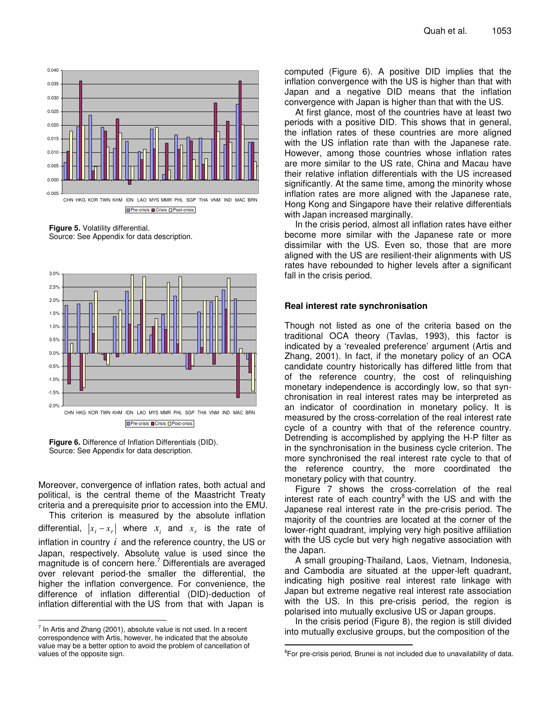

**Figure 5.** Volatility differential. Source: See Appendix for data description.



**Figure 6.** Difference of Inflation Differentials (DID). Source: See Appendix for data description.

Moreover, convergence of inflation rates, both actual and political, is the central theme of the Maastricht Treaty criteria and a prerequisite prior to accession into the EMU.

This criterion is measured by the absolute inflation differential,  $|x_i - x_r|$  where  $x_i$  and  $x_r$  is the rate of inflation in country *i* and the reference country, the US or Japan, respectively. Absolute value is used since the magnitude is of concern here. <sup>7</sup> Differentials are averaged over relevant period-the smaller the differential, the higher the inflation convergence. For convenience, the difference of inflation differential (DID)-deduction of inflation differential with the US from that with Japan is

computed (Figure 6). A positive DID implies that the inflation convergence with the US is higher than that with Japan and a negative DID means that the inflation convergence with Japan is higher than that with the US.

At first glance, most of the countries have at least two periods with a positive DID. This shows that in general, the inflation rates of these countries are more aligned with the US inflation rate than with the Japanese rate. However, among those countries whose inflation rates are more similar to the US rate, China and Macau have their relative inflation differentials with the US increased significantly. At the same time, among the minority whose inflation rates are more aligned with the Japanese rate, Hong Kong and Singapore have their relative differentials with Japan increased marginally.

In the crisis period, almost all inflation rates have either become more similar with the Japanese rate or more dissimilar with the US. Even so, those that are more aligned with the US are resilient-their alignments with US rates have rebounded to higher levels after a significant fall in the crisis period.

## **Real interest rate synchronisation**

Though not listed as one of the criteria based on the traditional OCA theory (Tavlas, 1993), this factor is indicated by a 'revealed preference' argument (Artis and Zhang, 2001). In fact, if the monetary policy of an OCA candidate country historically has differed little from that of the reference country, the cost of relinquishing monetary independence is accordingly low, so that synchronisation in real interest rates may be interpreted as an indicator of coordination in monetary policy. It is measured by the cross-correlation of the real interest rate cycle of a country with that of the reference country. Detrending is accomplished by applying the H-P filter as in the synchronisation in the business cycle criterion. The more synchronised the real interest rate cycle to that of the reference country, the more coordinated the monetary policy with that country.

Figure 7 shows the cross-correlation of the real interest rate of each country<sup>8</sup> with the US and with the Japanese real interest rate in the pre-crisis period. The majority of the countries are located at the corner of the lower-right quadrant, implying very high positive affiliation with the US cycle but very high negative association with the Japan.

A small grouping-Thailand, Laos, Vietnam, Indonesia, and Cambodia are situated at the upper-left quadrant, indicating high positive real interest rate linkage with Japan but extreme negative real interest rate association with the US. In this pre-crisis period, the region is polarised into mutually exclusive US or Japan groups.

In the crisis period (Figure 8), the region is still divided into mutually exclusive groups, but the composition of the

 $<sup>7</sup>$  In Artis and Zhang (2001), absolute value is not used. In a recent</sup> correspondence with Artis, however, he indicated that the absolute value may be a better option to avoid the problem of cancellation of values of the opposite sign.

<sup>&</sup>lt;sup>8</sup>For pre-crisis period, Brunei is not included due to unavailability of data.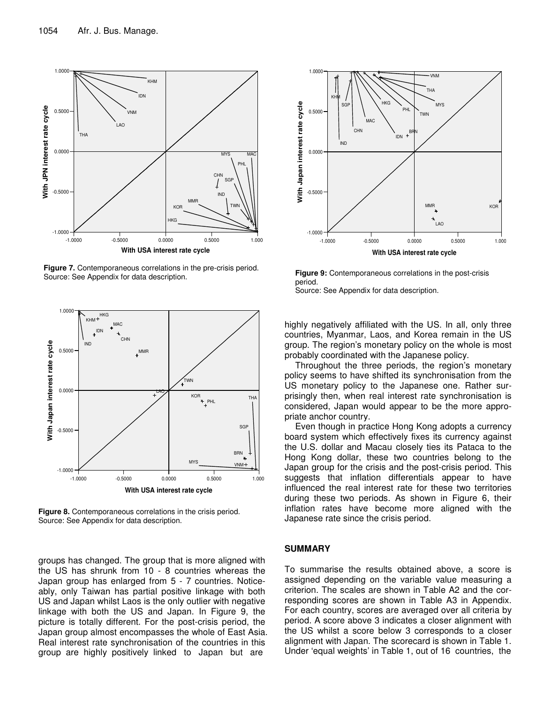

**Figure 7.** Contemporaneous correlations in the pre-crisis period. Source: See Appendix for data description.



**Figure 8.** Contemporaneous correlations in the crisis period. Source: See Appendix for data description.

groups has changed. The group that is more aligned with the US has shrunk from 10 - 8 countries whereas the Japan group has enlarged from 5 - 7 countries. Noticeably, only Taiwan has partial positive linkage with both US and Japan whilst Laos is the only outlier with negative linkage with both the US and Japan. In Figure 9, the picture is totally different. For the post-crisis period, the Japan group almost encompasses the whole of East Asia. Real interest rate synchronisation of the countries in this group are highly positively linked to Japan but are



**Figure 9:** Contemporaneous correlations in the post-crisis period.

Source: See Appendix for data description.

highly negatively affiliated with the US. In all, only three countries, Myanmar, Laos, and Korea remain in the US group. The region's monetary policy on the whole is most probably coordinated with the Japanese policy.

Throughout the three periods, the region's monetary policy seems to have shifted its synchronisation from the US monetary policy to the Japanese one. Rather surprisingly then, when real interest rate synchronisation is considered, Japan would appear to be the more appropriate anchor country.

Even though in practice Hong Kong adopts a currency board system which effectively fixes its currency against the U.S. dollar and Macau closely ties its Pataca to the Hong Kong dollar, these two countries belong to the Japan group for the crisis and the post-crisis period. This suggests that inflation differentials appear to have influenced the real interest rate for these two territories during these two periods. As shown in Figure 6, their inflation rates have become more aligned with the Japanese rate since the crisis period.

#### **SUMMARY**

To summarise the results obtained above, a score is assigned depending on the variable value measuring a criterion. The scales are shown in Table A2 and the corresponding scores are shown in Table A3 in Appendix. For each country, scores are averaged over all criteria by period. A score above 3 indicates a closer alignment with the US whilst a score below 3 corresponds to a closer alignment with Japan. The scorecard is shown in Table 1. Under 'equal weights' in Table 1, out of 16 countries, the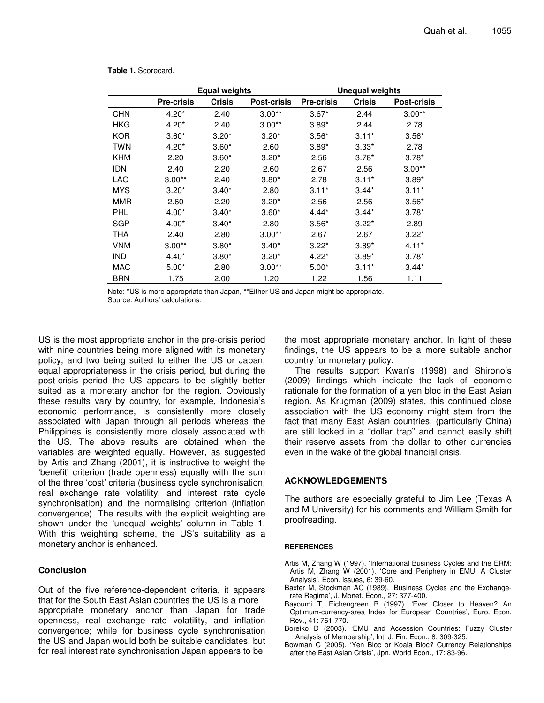|            |                   | Equal weights |                    | <b>Unequal weights</b> |         |                    |  |  |  |  |
|------------|-------------------|---------------|--------------------|------------------------|---------|--------------------|--|--|--|--|
|            | <b>Pre-crisis</b> | <b>Crisis</b> | <b>Post-crisis</b> | <b>Pre-crisis</b>      | Crisis  | <b>Post-crisis</b> |  |  |  |  |
| <b>CHN</b> | $4.20*$           | 2.40          | $3.00**$           | $3.67*$                | 2.44    | $3.00**$           |  |  |  |  |
| HKG        | $4.20*$           | 2.40          | $3.00**$           | $3.89*$                | 2.44    | 2.78               |  |  |  |  |
| <b>KOR</b> | $3.60*$           | $3.20*$       | $3.20*$            | $3.56*$                | $3.11*$ | $3.56*$            |  |  |  |  |
| TWN        | $4.20*$           | $3.60*$       | 2.60               | $3.89*$                | $3.33*$ | 2.78               |  |  |  |  |
| <b>KHM</b> | 2.20              | $3.60*$       | $3.20*$            | 2.56                   | $3.78*$ | $3.78*$            |  |  |  |  |
| <b>IDN</b> | 2.40              | 2.20          | 2.60               | 2.67                   | 2.56    | $3.00**$           |  |  |  |  |
| LAO        | $3.00**$          | 2.40          | $3.80*$            | 2.78                   | $3.11*$ | $3.89*$            |  |  |  |  |
| <b>MYS</b> | $3.20*$           | $3.40*$       | 2.80               | $3.11*$                | $3.44*$ | $3.11*$            |  |  |  |  |
| MMR        | 2.60              | 2.20          | $3.20*$            | 2.56                   | 2.56    | $3.56*$            |  |  |  |  |
| PHL        | $4.00*$           | $3.40*$       | $3.60*$            | $4.44*$                | $3.44*$ | $3.78*$            |  |  |  |  |
| SGP        | $4.00*$           | $3.40*$       | 2.80               | $3.56*$                | $3.22*$ | 2.89               |  |  |  |  |
| <b>THA</b> | 2.40              | 2.80          | $3.00**$           | 2.67                   | 2.67    | $3.22*$            |  |  |  |  |
| <b>VNM</b> | $3.00**$          | $3.80*$       | $3.40*$            | $3.22*$                | $3.89*$ | $4.11*$            |  |  |  |  |
| <b>IND</b> | $4.40*$           | $3.80*$       | $3.20*$            | $4.22*$                | $3.89*$ | $3.78*$            |  |  |  |  |
| <b>MAC</b> | $5.00*$           | 2.80          | $3.00**$           | $5.00*$                | $3.11*$ | $3.44*$            |  |  |  |  |
| <b>BRN</b> | 1.75              | 2.00          | 1.20               | 1.22                   | 1.56    | 1.11               |  |  |  |  |

|  | Table 1. Scorecard. |
|--|---------------------|
|--|---------------------|

Note: \*US is more appropriate than Japan, \*\*Either US and Japan might be appropriate. Source: Authors' calculations.

US is the most appropriate anchor in the pre-crisis period with nine countries being more aligned with its monetary policy, and two being suited to either the US or Japan, equal appropriateness in the crisis period, but during the post-crisis period the US appears to be slightly better suited as a monetary anchor for the region. Obviously these results vary by country, for example, Indonesia's economic performance, is consistently more closely associated with Japan through all periods whereas the Philippines is consistently more closely associated with the US. The above results are obtained when the variables are weighted equally. However, as suggested by Artis and Zhang (2001), it is instructive to weight the 'benefit' criterion (trade openness) equally with the sum of the three 'cost' criteria (business cycle synchronisation, real exchange rate volatility, and interest rate cycle synchronisation) and the normalising criterion (inflation convergence). The results with the explicit weighting are shown under the 'unequal weights' column in Table 1. With this weighting scheme, the US's suitability as a monetary anchor is enhanced.

#### **Conclusion**

Out of the five reference-dependent criteria, it appears that for the South East Asian countries the US is a more appropriate monetary anchor than Japan for trade openness, real exchange rate volatility, and inflation convergence; while for business cycle synchronisation the US and Japan would both be suitable candidates, but for real interest rate synchronisation Japan appears to be

the most appropriate monetary anchor. In light of these findings, the US appears to be a more suitable anchor country for monetary policy.

The results support Kwan's (1998) and Shirono's (2009) findings which indicate the lack of economic rationale for the formation of a yen bloc in the East Asian region. As Krugman (2009) states, this continued close association with the US economy might stem from the fact that many East Asian countries, (particularly China) are still locked in a "dollar trap" and cannot easily shift their reserve assets from the dollar to other currencies even in the wake of the global financial crisis.

# **ACKNOWLEDGEMENTS**

The authors are especially grateful to Jim Lee (Texas A and M University) for his comments and William Smith for proofreading.

#### **REFERENCES**

- Artis M, Zhang W (1997). 'International Business Cycles and the ERM: Artis M, Zhang W (2001). 'Core and Periphery in EMU: A Cluster Analysis', Econ. Issues, 6: 39-60.
- Baxter M, Stockman AC (1989). 'Business Cycles and the Exchangerate Regime', J. Monet. Econ., 27: 377-400.
- Bayoumi T, Eichengreen B (1997). 'Ever Closer to Heaven? An Optimum-currency-area Index for European Countries', Euro. Econ. Rev., 41: 761-770.
- Boreiko D (2003). 'EMU and Accession Countries: Fuzzy Cluster Analysis of Membership', Int. J. Fin. Econ., 8: 309-325.
- Bowman C (2005). 'Yen Bloc or Koala Bloc? Currency Relationships after the East Asian Crisis', Jpn. World Econ., 17: 83-96.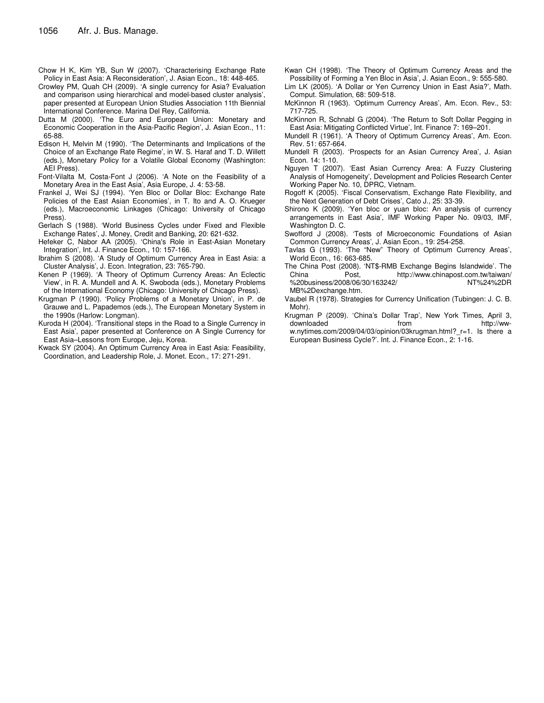- Chow H K, Kim YB, Sun W (2007). 'Characterising Exchange Rate Policy in East Asia: A Reconsideration', J. Asian Econ., 18: 448-465.
- Crowley PM, Quah CH (2009). 'A single currency for Asia? Evaluation and comparison using hierarchical and model-based cluster analysis', paper presented at European Union Studies Association 11th Biennial International Conference. Marina Del Rey, California.
- Dutta M (2000). 'The Euro and European Union: Monetary and Economic Cooperation in the Asia-Pacific Region', J. Asian Econ., 11: 65-88.
- Edison H, Melvin M (1990). 'The Determinants and Implications of the Choice of an Exchange Rate Regime', in W. S. Haraf and T. D. Willett (eds.), Monetary Policy for a Volatile Global Economy (Washington: AEI Press).
- Font-Vilalta M, Costa-Font J (2006). 'A Note on the Feasibility of a Monetary Area in the East Asia', Asia Europe, J. 4: 53-58.
- Frankel J, Wei SJ (1994). 'Yen Bloc or Dollar Bloc: Exchange Rate Policies of the East Asian Economies', in T. Ito and A. O. Krueger (eds.), Macroeconomic Linkages (Chicago: University of Chicago Press).
- Gerlach S (1988). 'World Business Cycles under Fixed and Flexible Exchange Rates', J. Money, Credit and Banking, 20: 621-632.
- Hefeker C, Nabor AA (2005). 'China's Role in East-Asian Monetary Integration', Int. J. Finance Econ., 10: 157-166.
- Ibrahim S (2008). 'A Study of Optimum Currency Area in East Asia: a Cluster Analysis', J. Econ. Integration, 23: 765-790.
- Kenen P (1969). 'A Theory of Optimum Currency Areas: An Eclectic View', in R. A. Mundell and A. K. Swoboda (eds.), Monetary Problems of the International Economy (Chicago: University of Chicago Press).
- Krugman P (1990). 'Policy Problems of a Monetary Union', in P. de Grauwe and L. Papademos (eds.), The European Monetary System in the 1990s (Harlow: Longman).
- Kuroda H (2004). 'Transitional steps in the Road to a Single Currency in East Asia', paper presented at Conference on A Single Currency for East Asia–Lessons from Europe, Jeju, Korea.
- Kwack SY (2004). An Optimum Currency Area in East Asia: Feasibility, Coordination, and Leadership Role, J. Monet. Econ., 17: 271-291.
- Kwan CH (1998). 'The Theory of Optimum Currency Areas and the Possibility of Forming a Yen Bloc in Asia', J. Asian Econ., 9: 555-580.
- Lim LK (2005). 'A Dollar or Yen Currency Union in East Asia?', Math. Comput. Simulation, 68: 509-518.
- McKinnon R (1963). 'Optimum Currency Areas', Am. Econ. Rev., 53: 717-725.
- McKinnon R, Schnabl G (2004). 'The Return to Soft Dollar Pegging in East Asia: Mitigating Conflicted Virtue', Int. Finance 7: 169–201.
- Mundell R (1961). 'A Theory of Optimum Currency Areas', Am. Econ. Rev. 51: 657-664.
- Mundell R (2003). 'Prospects for an Asian Currency Area', J. Asian Econ. 14: 1-10.
- Nguyen T (2007). 'East Asian Currency Area: A Fuzzy Clustering Analysis of Homogeneity', Development and Policies Research Center Working Paper No. 10, DPRC, Vietnam.
- Rogoff K (2005). 'Fiscal Conservatism, Exchange Rate Flexibility, and the Next Generation of Debt Crises', Cato J., 25: 33-39.
- Shirono K (2009). 'Yen bloc or yuan bloc: An analysis of currency arrangements in East Asia', IMF Working Paper No. 09/03, IMF, Washington D. C.
- Swofford J (2008). 'Tests of Microeconomic Foundations of Asian Common Currency Areas', J. Asian Econ., 19: 254-258.
- Tavlas G (1993). 'The "New" Theory of Optimum Currency Areas', World Econ., 16: 663-685.
- The China Post (2008). 'NT\$-RMB Exchange Begins Islandwide'. The http://www.chinapost.com.tw/taiwan/ %20business/2008/06/30/163242/ NT%24%2DR MB%2Dexchange.htm.
- Vaubel R (1978). Strategies for Currency Unification (Tubingen: J. C. B. Mohr).
- Krugman P (2009). 'China's Dollar Trap', New York Times, April 3, downloaded from http://www.nytimes.com/2009/04/03/opinion/03krugman.html?\_r=1. Is there a European Business Cycle?'. Int. J. Finance Econ., 2: 1-16.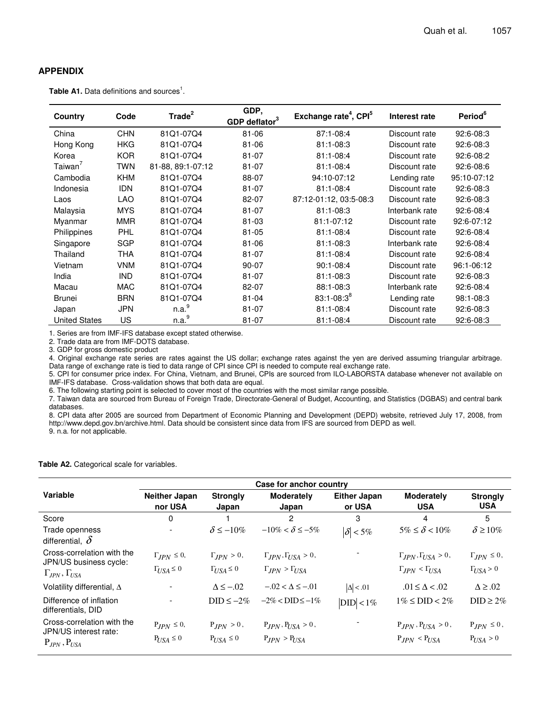## **APPENDIX**

**Table A1.** Data definitions and sources<sup>1</sup>.

| Country              | Code       | Trade <sup>2</sup> | GDP,<br>GDP deflator <sup>3</sup> | Exchange rate <sup>4</sup> , CPI <sup>5</sup> | Interest rate  | Period <sup>6</sup> |
|----------------------|------------|--------------------|-----------------------------------|-----------------------------------------------|----------------|---------------------|
| China                | <b>CHN</b> | 81Q1-07Q4          | 81-06                             | 87:1-08:4                                     | Discount rate  | 92:6-08:3           |
| Hong Kong            | HKG        | 81Q1-07Q4          | 81-06                             | $81:1 - 08:3$                                 | Discount rate  | 92:6-08:3           |
| Korea                | KOR.       | 81Q1-07Q4          | $81 - 07$                         | $81:1 - 08:4$                                 | Discount rate  | 92:6-08:2           |
| Taiwan <sup>'</sup>  | <b>TWN</b> | 81-88, 89:1-07:12  | $81 - 07$                         | $81:1 - 08:4$                                 | Discount rate  | 92:6-08:6           |
| Cambodia             | <b>KHM</b> | 81Q1-07Q4          | 88-07                             | 94:10-07:12                                   | Lending rate   | 95:10-07:12         |
| Indonesia            | <b>IDN</b> | 81Q1-07Q4          | $81 - 07$                         | $81:1 - 08:4$                                 | Discount rate  | 92:6-08:3           |
| Laos                 | <b>LAO</b> | 81Q1-07Q4          | 82-07                             | 87:12-01:12, 03:5-08:3                        | Discount rate  | 92:6-08:3           |
| Malaysia             | <b>MYS</b> | 81Q1-07Q4          | $81 - 07$                         | $81:1 - 08:3$                                 | Interbank rate | 92:6-08:4           |
| Myanmar              | <b>MMR</b> | 81Q1-07Q4          | $81 - 03$                         | 81:1-07:12                                    | Discount rate  | 92:6-07:12          |
| Philippines          | <b>PHL</b> | 81Q1-07Q4          | 81-05                             | $81:1-08:4$                                   | Discount rate  | 92:6-08:4           |
| Singapore            | <b>SGP</b> | 81Q1-07Q4          | 81-06                             | $81:1 - 08:3$                                 | Interbank rate | 92:6-08:4           |
| Thailand             | <b>THA</b> | 81Q1-07Q4          | 81-07                             | $81:1 - 08:4$                                 | Discount rate  | 92:6-08:4           |
| Vietnam              | <b>VNM</b> | 81Q1-07Q4          | 90-07                             | $90:1 - 08:4$                                 | Discount rate  | 96:1-06:12          |
| India                | <b>IND</b> | 81Q1-07Q4          | $81 - 07$                         | $81:1 - 08:3$                                 | Discount rate  | 92:6-08:3           |
| Macau                | MAC        | 81Q1-07Q4          | 82-07                             | 88:1-08:3                                     | Interbank rate | 92:6-08:4           |
| <b>Brunei</b>        | <b>BRN</b> | 81Q1-07Q4          | $81 - 04$                         | $83:1 - 08:3^8$                               | Lending rate   | 98:1-08:3           |
| Japan                | <b>JPN</b> | n.a. <sup>9</sup>  | $81 - 07$                         | 81:1-08:4                                     | Discount rate  | 92:6-08:3           |
| <b>United States</b> | US         | n.a. <sup>9</sup>  | $81 - 07$                         | 81:1-08:4                                     | Discount rate  | 92:6-08:3           |

1. Series are from IMF-IFS database except stated otherwise.

2. Trade data are from IMF-DOTS database.

3. GDP for gross domestic product

4. Original exchange rate series are rates against the US dollar; exchange rates against the yen are derived assuming triangular arbitrage. Data range of exchange rate is tied to data range of CPI since CPI is needed to compute real exchange rate.

5. CPI for consumer price index. For China, Vietnam, and Brunei, CPIs are sourced from ILO-LABORSTA database whenever not available on IMF-IFS database. Cross-validation shows that both data are equal.

6. The following starting point is selected to cover most of the countries with the most similar range possible.

7. Taiwan data are sourced from Bureau of Foreign Trade, Directorate-General of Budget, Accounting, and Statistics (DGBAS) and central bank databases.

8. CPI data after 2005 are sourced from Department of Economic Planning and Development (DEPD) website, retrieved July 17, 2008, from http://www.depd.gov.bn/archive.html. Data should be consistent since data from IFS are sourced from DEPD as well. 9. n.a. for not applicable.

**Table A2.** Categorical scale for variables.

|                                                      | Case for anchor country  |                          |                                   |                               |                                     |                               |  |  |  |  |  |  |  |
|------------------------------------------------------|--------------------------|--------------------------|-----------------------------------|-------------------------------|-------------------------------------|-------------------------------|--|--|--|--|--|--|--|
| <b>Variable</b>                                      | Neither Japan<br>nor USA | <b>Strongly</b><br>Japan | <b>Moderately</b><br>Japan        | <b>Either Japan</b><br>or USA | <b>Moderately</b><br><b>USA</b>     | <b>Strongly</b><br><b>USA</b> |  |  |  |  |  |  |  |
| Score                                                | 0                        |                          | $\overline{c}$                    | 3                             | 4                                   | 5                             |  |  |  |  |  |  |  |
| Trade openness<br>differential, $\delta$             |                          | $\delta \le -10\%$       | $-10\% < \delta \le -5\%$         | $ \delta $ < 5%               | $5\% \leq \delta < 10\%$            | $\delta \geq 10\%$            |  |  |  |  |  |  |  |
| Cross-correlation with the<br>JPN/US business cycle: | $\Gamma_{IPN} \leq 0$ ,  | $\Gamma_{IPN} > 0$ ,     | $\Gamma_{JPN}, \Gamma_{USA} > 0,$ |                               | $\Gamma_{IPN}, \Gamma_{IISA} > 0$ , | $\Gamma_{IPN} \leq 0$ ,       |  |  |  |  |  |  |  |
| $\Gamma_{JPN}, \Gamma_{USA}$                         | $\Gamma_{USA} \leq 0$    | $\Gamma_{USA} \leq 0$    | $\Gamma_{JPN} > \Gamma_{USA}$     |                               | $\Gamma_{JPN} < \Gamma_{USA}$       | $\Gamma_{USA} > 0$            |  |  |  |  |  |  |  |
| Volatility differential, $\Delta$                    |                          | $\Delta \leq -.02$       | $-.02 < \Delta \le -.01$          | $ \Delta $ < .01              | $.01 \leq \Delta < .02$             | $\Delta \geq .02$             |  |  |  |  |  |  |  |
| Difference of inflation<br>differentials, DID        | $\overline{\phantom{a}}$ | $DID \le -2\%$           | $-2\% <$ DID $\le -1\%$           | $ DID $ < 1%                  | $1\% \leq DID < 2\%$                | $DID \geq 2\%$                |  |  |  |  |  |  |  |
| Cross-correlation with the<br>JPN/US interest rate:  | $P_{IPN} \leq 0$ ,       | $P_{IPN} > 0$ ,          | $P_{JPN}$ , $P_{USA} > 0$ ,       |                               | $P_{JPN}$ , $P_{USA} > 0$ ,         | $P_{JPN} \leq 0$ ,            |  |  |  |  |  |  |  |
| $P_{JPN}$ , $P_{USA}$                                | $P_{USA} \leq 0$         | $P_{USA} \leq 0$         | $P_{JPN} > P_{USA}$               |                               | $P_{JPN} < P_{USA}$                 | $P_{USA} > 0$                 |  |  |  |  |  |  |  |